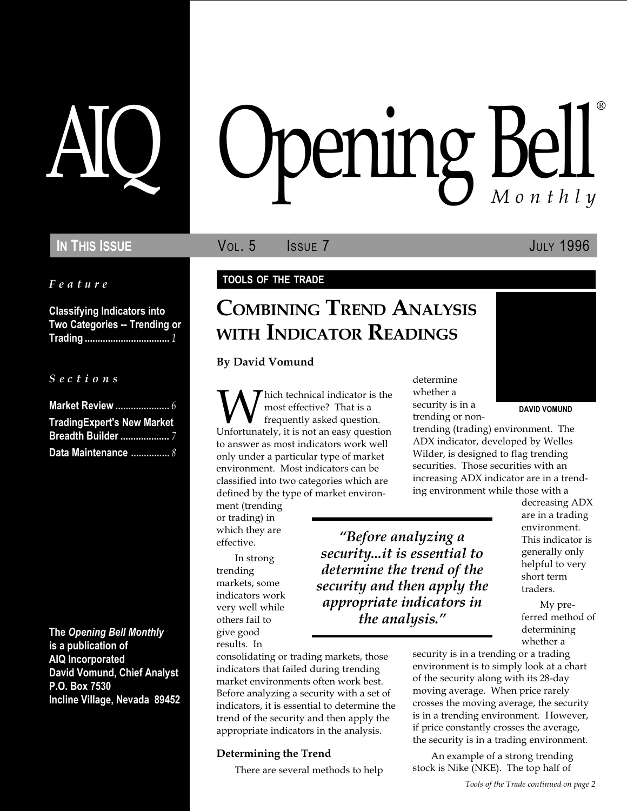Feature

Classifying Indicators into Two Categories -- Trending or Trading ................................. 1

S e c t i o n s

| <b>TradingExpert's New Market</b> |
|-----------------------------------|
|                                   |
| Data Maintenance  8               |

The Opening Bell Monthly is a publication of AIQ Incorporated David Vomund, Chief Analyst P.O. Box 7530 Incline Village, Nevada 89452

# pening Bell ®

**IN THIS ISSUE VOL. 5 ISSUE 7 ISSUE JULY 1996** 

#### TOOLS OF THE TRADE

# COMBINING TREND ANALYSIS WITH INDICATOR READINGS

By David Vomund

**W** hich technical indicator is the most effective? That is a frequently asked question.<br>Unfortunately, it is not an easy question most effective? That is a frequently asked question. to answer as most indicators work well only under a particular type of market environment. Most indicators can be classified into two categories which are defined by the type of market environ-

ment (trending or trading) in which they are effective.

In strong trending markets, some indicators work very well while others fail to give good results. In

Before analyzing a security...it is essential to determine the trend of the security and then apply the appropriate indicators in the analysis.

consolidating or trading markets, those indicators that failed during trending market environments often work best. Before analyzing a security with a set of indicators, it is essential to determine the trend of the security and then apply the appropriate indicators in the analysis.

#### Determining the Trend

There are several methods to help

determine whether a security is in a trending or non-



DAVID VOMUND

trending (trading) environment. The ADX indicator, developed by Welles Wilder, is designed to flag trending securities. Those securities with an increasing ADX indicator are in a trending environment while those with a

> decreasing ADX are in a trading environment. This indicator is generally only helpful to very short term traders.

My preferred method of determining whether a

security is in a trending or a trading environment is to simply look at a chart of the security along with its 28-day moving average. When price rarely crosses the moving average, the security is in a trending environment. However, if price constantly crosses the average, the security is in a trading environment.

An example of a strong trending stock is Nike (NKE). The top half of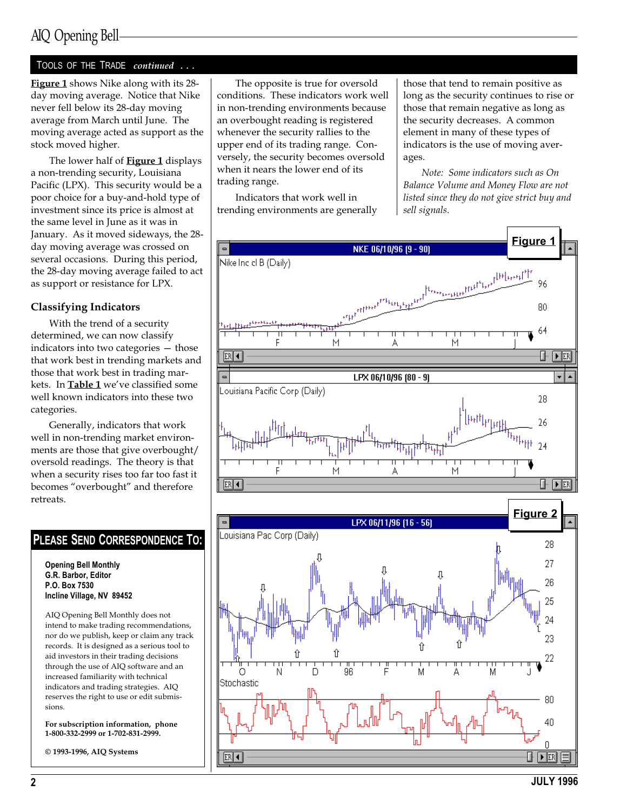#### TOOLS OF THE TRADE continued ...

Figure 1 shows Nike along with its 28day moving average. Notice that Nike never fell below its 28-day moving average from March until June. The moving average acted as support as the stock moved higher.

The lower half of **Figure 1** displays a non-trending security, Louisiana Pacific (LPX). This security would be a poor choice for a buy-and-hold type of investment since its price is almost at the same level in June as it was in January. As it moved sideways, the 28 day moving average was crossed on several occasions. During this period, the 28-day moving average failed to act as support or resistance for LPX.

#### Classifying Indicators

With the trend of a security determined, we can now classify indicators into two categories  $-$  those that work best in trending markets and those that work best in trading markets. In Table 1 we've classified some well known indicators into these two categories.

Generally, indicators that work well in non-trending market environments are those that give overbought/ oversold readings. The theory is that when a security rises too far too fast it becomes "overbought" and therefore retreats.



NKE 06/10/96 (9 - 90)

erfreer<sup>ers</sup>kere<sub>r</sub>e

LPX 06/10/96 [80 - 9]

M

PLEASE SEND CORRESPONDENCE TO:

Opening Bell Monthly G.R. Barbor, Editor P.O. Box 7530 Incline Village, NV 89452

AIQ Opening Bell Monthly does not intend to make trading recommendations, nor do we publish, keep or claim any track records. It is designed as a serious tool to aid investors in their trading decisions through the use of AIQ software and an increased familiarity with technical indicators and trading strategies. AIQ reserves the right to use or edit submissions.

For subscription information, phone 1-800-332-2999 or 1-702-831-2999.

© 1993-1996, AIQ Systems

The opposite is true for oversold conditions. These indicators work well in non-trending environments because an overbought reading is registered whenever the security rallies to the upper end of its trading range. Conversely, the security becomes oversold when it nears the lower end of its trading range.

Indicators that work well in trending environments are generally

Nike Inc cl B (Daily)

ouisiana Pacific Corp (Daily).

ER∣◀

those that tend to remain positive as long as the security continues to rise or those that remain negative as long as the security decreases. A common element in many of these types of indicators is the use of moving averages.

Note: Some indicators such as On Balance Volume and Money Flow are not listed since they do not give strict buy and sell signals.

М

Figure 1

96

80

64

28

26

 $\blacktriangleright$  ER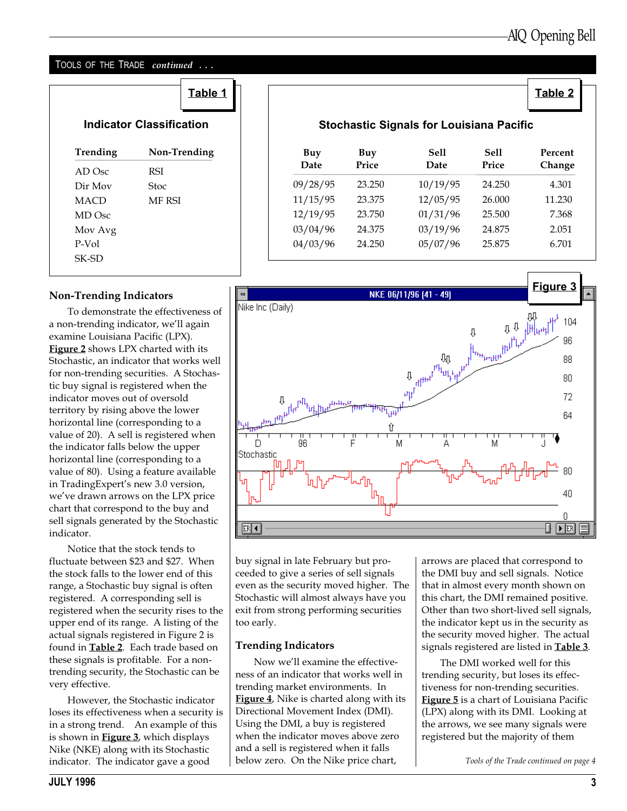## TOOLS OF THE TRADE *continued* ...

|                                 | Table 1       |  |                                                 |              |              |               | <b>Table 2</b>    |  |  |
|---------------------------------|---------------|--|-------------------------------------------------|--------------|--------------|---------------|-------------------|--|--|
| <b>Indicator Classification</b> |               |  | <b>Stochastic Signals for Louisiana Pacific</b> |              |              |               |                   |  |  |
| Trending                        | Non-Trending  |  | Buy<br>Date                                     | Buy<br>Price | Sell<br>Date | Sell<br>Price | Percent<br>Change |  |  |
| AD Osc                          | <b>RSI</b>    |  |                                                 |              |              |               |                   |  |  |
| Dir Mov                         | <b>Stoc</b>   |  | 09/28/95                                        | 23.250       | 10/19/95     | 24.250        | 4.301             |  |  |
| <b>MACD</b>                     | <b>MF RSI</b> |  | 11/15/95                                        | 23.375       | 12/05/95     | 26.000        | 11.230            |  |  |
| MD Osc                          |               |  | 12/19/95                                        | 23.750       | 01/31/96     | 25.500        | 7.368             |  |  |
| Mov Avg                         |               |  | 03/04/96                                        | 24.375       | 03/19/96     | 24.875        | 2.051             |  |  |
| P-Vol                           |               |  | 04/03/96                                        | 24.250       | 05/07/96     | 25.875        | 6.701             |  |  |
| SK-SD                           |               |  |                                                 |              |              |               |                   |  |  |

### Non-Trending Indicators

To demonstrate the effectiveness of a non-trending indicator, we'll again examine Louisiana Pacific (LPX). Figure 2 shows LPX charted with its Stochastic, an indicator that works well for non-trending securities. A Stochastic buy signal is registered when the indicator moves out of oversold territory by rising above the lower horizontal line (corresponding to a value of 20). A sell is registered when the indicator falls below the upper horizontal line (corresponding to a value of 80). Using a feature available in TradingExpert's new 3.0 version, we've drawn arrows on the LPX price chart that correspond to the buy and sell signals generated by the Stochastic indicator.

Notice that the stock tends to fluctuate between \$23 and \$27. When the stock falls to the lower end of this range, a Stochastic buy signal is often registered. A corresponding sell is registered when the security rises to the upper end of its range. A listing of the actual signals registered in Figure 2 is found in Table 2. Each trade based on these signals is profitable. For a nontrending security, the Stochastic can be very effective.

However, the Stochastic indicator loses its effectiveness when a security is in a strong trend. An example of this is shown in **Figure 3**, which displays Nike (NKE) along with its Stochastic indicator. The indicator gave a good  $\blacksquare$  below zero. On the Nike price chart,  $\blacksquare$  Tools of the Trade continued on page 4

#### Figure 31 and 32 and 32 and 32 and 32 and 32 and 32 and 32 and 32 and 32 and 32 and 32 and 32 and 32 and 32 and 32 and 32 and 32 and 32 and 32 and 32 and 32 and 32 and 32 and 32 and 32 and 32 and 32 and 32 and 32 and 32 an Nike Inc 104 96 **Bu**<br>Butther right 88 80 72 64 D ۹F Δ Stochastic 40  $\cap$  $ER$   $\sqrt{4}$ ⊪  $FER$

buy signal in late February but proceeded to give a series of sell signals even as the security moved higher. The Stochastic will almost always have you exit from strong performing securities too early.

#### Trending Indicators

Now we'll examine the effectiveness of an indicator that works well in trending market environments. In Figure 4, Nike is charted along with its Directional Movement Index (DMI). Using the DMI, a buy is registered when the indicator moves above zero and a sell is registered when it falls below zero. On the Nike price chart,

arrows are placed that correspond to the DMI buy and sell signals. Notice that in almost every month shown on this chart, the DMI remained positive. Other than two short-lived sell signals, the indicator kept us in the security as the security moved higher. The actual signals registered are listed in **Table 3**.

The DMI worked well for this trending security, but loses its effectiveness for non-trending securities. Figure 5 is a chart of Louisiana Pacific (LPX) along with its DMI. Looking at the arrows, we see many signals were registered but the majority of them

### Stochastic Signals for Louisiana Pacific

| Buy<br>Date | Buy<br>Price    | Sell<br>Date | Sell<br>Price | Percent<br>Change |
|-------------|-----------------|--------------|---------------|-------------------|
| 09/28/95    | 23.250          | 10/19/95     | 24.250        | 4.301             |
| 11/15/95    | 23.375          | 12/05/95     | 26.000        | 11.230            |
| 12/19/95    | 23.750          | 01/31/96     | 25.500        | 7.368             |
| 03/04/96    | 24.375          | 03/19/96     | 24.875        | 2.051             |
| 04/03/96    | 24.250          | 05/07/96     | 25.875        | 6.701             |
|             |                 |              |               |                   |
|             | <u>Figure 3</u> |              |               |                   |
| (Daily)     |                 |              |               | - -               |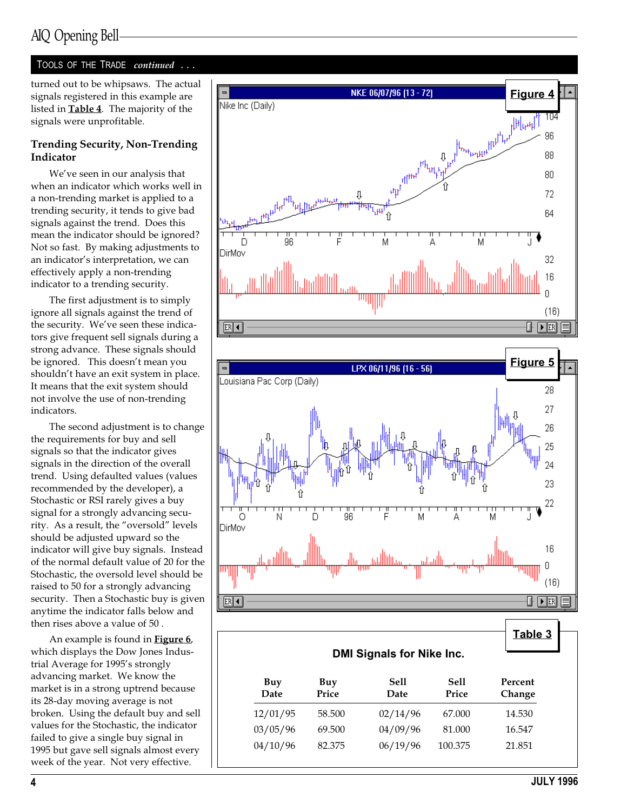#### TOOLS OF THE TRADE continued ...

turned out to be whipsaws. The actual signals registered in this example are listed in Table 4. The majority of the signals were unprofitable.

#### Trending Security, Non-Trending Indicator

We've seen in our analysis that when an indicator which works well in a non-trending market is applied to a trending security, it tends to give bad signals against the trend. Does this mean the indicator should be ignored? Not so fast. By making adjustments to an indicator's interpretation, we can effectively apply a non-trending indicator to a trending security.

The first adjustment is to simply ignore all signals against the trend of the security. We've seen these indicators give frequent sell signals during a strong advance. These signals should be ignored. This doesn't mean you shouldn't have an exit system in place. It means that the exit system should not involve the use of non-trending indicators.

The second adjustment is to change the requirements for buy and sell signals so that the indicator gives signals in the direction of the overall trend. Using defaulted values (values recommended by the developer), a Stochastic or RSI rarely gives a buy signal for a strongly advancing security. As a result, the "oversold" levels should be adjusted upward so the indicator will give buy signals. Instead of the normal default value of 20 for the Stochastic, the oversold level should be raised to 50 for a strongly advancing security. Then a Stochastic buy is given anytime the indicator falls below and then rises above a value of 50 .

An example is found in **Figure 6**, which displays the Dow Jones Industrial Average for 1995's strongly advancing market. We know the market is in a strong uptrend because its 28-day moving average is not broken. Using the default buy and sell values for the Stochastic, the indicator failed to give a single buy signal in 1995 but gave sell signals almost every week of the year. Not very effective.



Date Price Date Price Change

12/01/95 58.500 02/14/96 67.000 14.530 03/05/96 69.500 04/09/96 81.000 16.547 04/10/96 82.375 06/19/96 100.375 21.851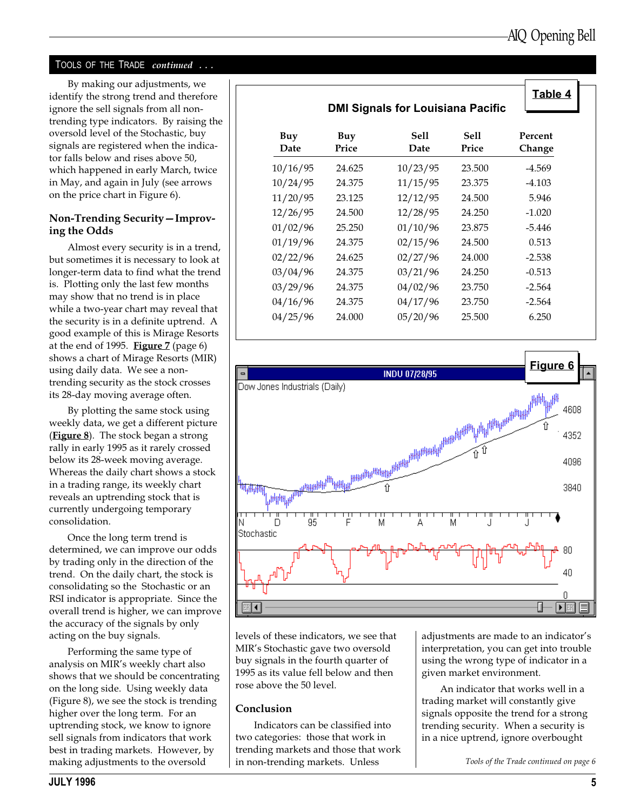### TOOLS OF THE TRADE continued ...

By making our adjustments, we identify the strong trend and therefore ignore the sell signals from all nontrending type indicators. By raising the oversold level of the Stochastic, buy signals are registered when the indicator falls below and rises above 50, which happened in early March, twice in May, and again in July (see arrows on the price chart in Figure 6).

#### Non-Trending Security-Improving the Odds

Almost every security is in a trend, but sometimes it is necessary to look at longer-term data to find what the trend is. Plotting only the last few months may show that no trend is in place while a two-year chart may reveal that the security is in a definite uptrend. A good example of this is Mirage Resorts at the end of 1995. Figure  $7$  (page 6) shows a chart of Mirage Resorts (MIR) using daily data. We see a nontrending security as the stock crosses its 28-day moving average often.

By plotting the same stock using weekly data, we get a different picture (**Figure 8**). The stock began a strong rally in early 1995 as it rarely crossed below its 28-week moving average. Whereas the daily chart shows a stock in a trading range, its weekly chart reveals an uptrending stock that is currently undergoing temporary consolidation.

Once the long term trend is determined, we can improve our odds by trading only in the direction of the trend. On the daily chart, the stock is consolidating so the Stochastic or an RSI indicator is appropriate. Since the overall trend is higher, we can improve the accuracy of the signals by only acting on the buy signals.

Performing the same type of analysis on MIR's weekly chart also shows that we should be concentrating on the long side. Using weekly data (Figure 8), we see the stock is trending higher over the long term. For an uptrending stock, we know to ignore sell signals from indicators that work best in trading markets. However, by making adjustments to the oversold

|             | Table 4<br><b>DMI Signals for Louisiana Pacific</b> |              |               |                   |
|-------------|-----------------------------------------------------|--------------|---------------|-------------------|
| Buy<br>Date | Buy<br>Price                                        | Sell<br>Date | Sell<br>Price | Percent<br>Change |
| 10/16/95    | 24.625                                              | 10/23/95     | 23.500        | $-4.569$          |
| 10/24/95    | 24.375                                              | 11/15/95     | 23.375        | $-4.103$          |
| 11/20/95    | 23.125                                              | 12/12/95     | 24.500        | 5.946             |
| 12/26/95    | 24.500                                              | 12/28/95     | 24.250        | $-1.020$          |
| 01/02/96    | 25.250                                              | 01/10/96     | 23.875        | $-5.446$          |
| 01/19/96    | 24.375                                              | 02/15/96     | 24.500        | 0.513             |
| 02/22/96    | 24.625                                              | 02/27/96     | 24.000        | $-2.538$          |
| 03/04/96    | 24.375                                              | 03/21/96     | 24.250        | $-0.513$          |
| 03/29/96    | 24.375                                              | 04/02/96     | 23.750        | $-2.564$          |
| 04/16/96    | 24.375                                              | 04/17/96     | 23.750        | $-2.564$          |
| 04/25/96    | 24.000                                              | 05/20/96     | 25.500        | 6.250             |



levels of these indicators, we see that MIR's Stochastic gave two oversold buy signals in the fourth quarter of 1995 as its value fell below and then rose above the 50 level.

#### Conclusion

Indicators can be classified into two categories: those that work in trending markets and those that work in non-trending markets. Unless

adjustments are made to an indicator's interpretation, you can get into trouble using the wrong type of indicator in a given market environment.

An indicator that works well in a trading market will constantly give signals opposite the trend for a strong trending security. When a security is in a nice uptrend, ignore overbought

Tools of the Trade continued on page 6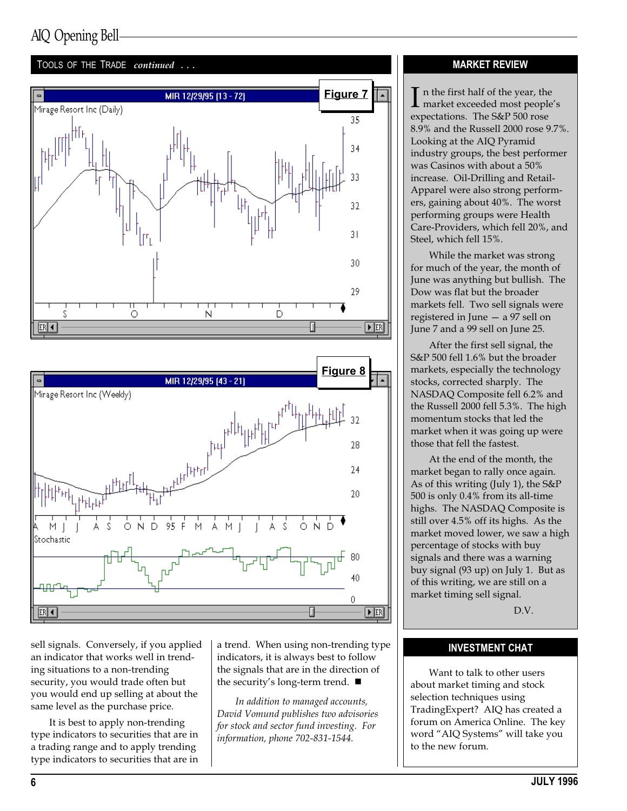



sell signals. Conversely, if you applied an indicator that works well in trending situations to a non-trending security, you would trade often but you would end up selling at about the same level as the purchase price.

It is best to apply non-trending type indicators to securities that are in a trading range and to apply trending type indicators to securities that are in a trend. When using non-trending type indicators, it is always best to follow the signals that are in the direction of the security's long-term trend.  $\blacksquare$ 

In addition to managed accounts, David Vomund publishes two advisories for stock and sector fund investing. For information, phone 702-831-1544.

#### MARKET REVIEW

 $\prod$  n the first half of the year, the market exceeded most people's expectations. The S&P 500 rose 8.9% and the Russell 2000 rose 9.7%. Looking at the AIQ Pyramid industry groups, the best performer was Casinos with about a 50% increase. Oil-Drilling and Retail-Apparel were also strong performers, gaining about 40%. The worst performing groups were Health Care-Providers, which fell 20%, and Steel, which fell 15%.

While the market was strong for much of the year, the month of June was anything but bullish. The Dow was flat but the broader markets fell. Two sell signals were registered in June  $-$  a 97 sell on June 7 and a 99 sell on June 25.

After the first sell signal, the S&P 500 fell 1.6% but the broader markets, especially the technology stocks, corrected sharply. The NASDAQ Composite fell 6.2% and the Russell 2000 fell 5.3%. The high momentum stocks that led the market when it was going up were those that fell the fastest.

At the end of the month, the market began to rally once again. As of this writing (July 1), the S&P 500 is only 0.4% from its all-time highs. The NASDAQ Composite is still over 4.5% off its highs. As the market moved lower, we saw a high percentage of stocks with buy signals and there was a warning buy signal (93 up) on July 1. But as of this writing, we are still on a market timing sell signal.

D.V.

#### INVESTMENT CHAT

Want to talk to other users about market timing and stock selection techniques using TradingExpert? AIQ has created a forum on America Online. The key word "AIQ Systems" will take you to the new forum.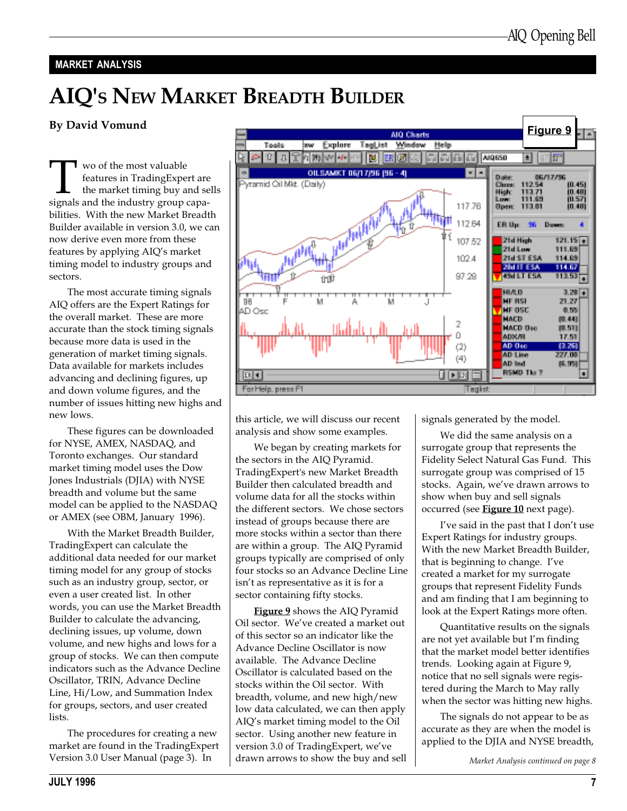#### MARKET ANALYSIS

# AIQ'S NEW MARKET BREADTH BUILDER

#### By David Vomund

**THE WOO OF THE MODE IS A SET ON A SET ON STARK SHOW SET ON SET ON STARK SHOWS** Signals and the industry group capafeatures in TradingExpert are the market timing buy and sells bilities. With the new Market Breadth Builder available in version 3.0, we can now derive even more from these features by applying AIQ's market timing model to industry groups and sectors.

The most accurate timing signals AIQ offers are the Expert Ratings for the overall market. These are more accurate than the stock timing signals because more data is used in the generation of market timing signals. Data available for markets includes advancing and declining figures, up and down volume figures, and the number of issues hitting new highs and new lows.

These figures can be downloaded for NYSE, AMEX, NASDAQ, and Toronto exchanges. Our standard market timing model uses the Dow Jones Industrials (DJIA) with NYSE breadth and volume but the same model can be applied to the NASDAQ or AMEX (see OBM, January 1996).

With the Market Breadth Builder, TradingExpert can calculate the additional data needed for our market timing model for any group of stocks such as an industry group, sector, or even a user created list. In other words, you can use the Market Breadth Builder to calculate the advancing, declining issues, up volume, down volume, and new highs and lows for a group of stocks. We can then compute indicators such as the Advance Decline Oscillator, TRIN, Advance Decline Line, Hi/Low, and Summation Index for groups, sectors, and user created lists.

The procedures for creating a new market are found in the TradingExpert Version 3.0 User Manual (page 3). In



this article, we will discuss our recent analysis and show some examples.

We began by creating markets for the sectors in the AIQ Pyramid. TradingExpert's new Market Breadth Builder then calculated breadth and volume data for all the stocks within the different sectors. We chose sectors instead of groups because there are more stocks within a sector than there are within a group. The AIQ Pyramid groups typically are comprised of only four stocks so an Advance Decline Line isn't as representative as it is for a sector containing fifty stocks.

Figure 9 shows the AIQ Pyramid Oil sector. We've created a market out of this sector so an indicator like the Advance Decline Oscillator is now available. The Advance Decline Oscillator is calculated based on the stocks within the Oil sector. With breadth, volume, and new high/new low data calculated, we can then apply AIQ's market timing model to the Oil sector. Using another new feature in version 3.0 of TradingExpert, we've drawn arrows to show the buy and sell signals generated by the model.

We did the same analysis on a surrogate group that represents the Fidelity Select Natural Gas Fund. This surrogate group was comprised of 15 stocks. Again, we've drawn arrows to show when buy and sell signals occurred (see Figure 10 next page).

I've said in the past that I don't use Expert Ratings for industry groups. With the new Market Breadth Builder, that is beginning to change. I've created a market for my surrogate groups that represent Fidelity Funds and am finding that I am beginning to look at the Expert Ratings more often.

Quantitative results on the signals are not yet available but I'm finding that the market model better identifies trends. Looking again at Figure 9, notice that no sell signals were registered during the March to May rally when the sector was hitting new highs.

The signals do not appear to be as accurate as they are when the model is applied to the DJIA and NYSE breadth,

Market Analysis continued on page 8